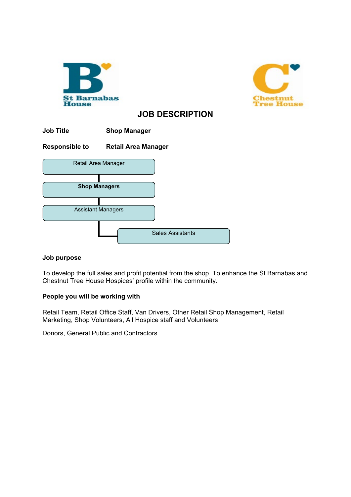



# **JOB DESCRIPTION**

| <b>Job Title</b>          | <b>Shop Manager</b>        |
|---------------------------|----------------------------|
| <b>Responsible to</b>     | <b>Retail Area Manager</b> |
| Retail Area Manager       |                            |
| <b>Shop Managers</b>      |                            |
| <b>Assistant Managers</b> |                            |
|                           | <b>Sales Assistants</b>    |

## **Job purpose**

To develop the full sales and profit potential from the shop. To enhance the St Barnabas and Chestnut Tree House Hospices' profile within the community.

# **People you will be working with**

Retail Team, Retail Office Staff, Van Drivers, Other Retail Shop Management, Retail Marketing, Shop Volunteers, All Hospice staff and Volunteers

Donors, General Public and Contractors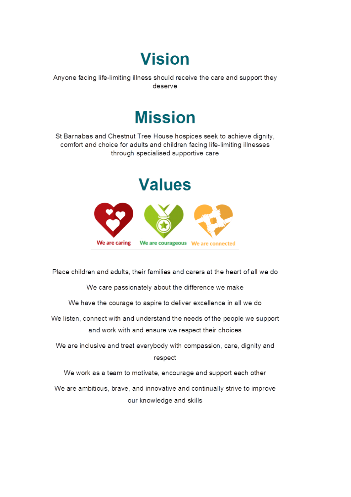# **Vision**

Anyone facing life-limiting illness should receive the care and support they deserve

# **Mission**

St Barnabas and Chestnut Tree House hospices seek to achieve dignity, comfort and choice for adults and children facing life-limiting illnesses through specialised supportive care

# **Values**



Place children and adults, their families and carers at the heart of all we do

We care passionately about the difference we make

We have the courage to aspire to deliver excellence in all we do

We listen, connect with and understand the needs of the people we support and work with and ensure we respect their choices

We are inclusive and treat everybody with compassion, care, dignity and respect

We work as a team to motivate, encourage and support each other

We are ambitious, brave, and innovative and continually strive to improve our knowledge and skills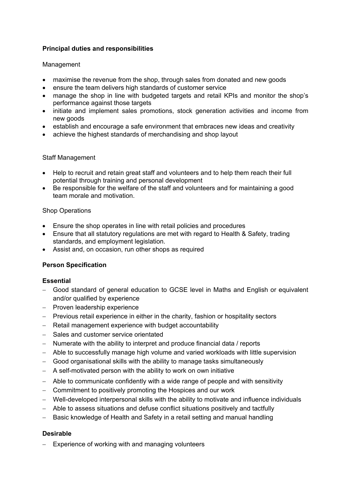# **Principal duties and responsibilities**

## Management

- maximise the revenue from the shop, through sales from donated and new goods
- ensure the team delivers high standards of customer service
- manage the shop in line with budgeted targets and retail KPIs and monitor the shop's performance against those targets
- initiate and implement sales promotions, stock generation activities and income from new goods
- establish and encourage a safe environment that embraces new ideas and creativity
- achieve the highest standards of merchandising and shop layout

## Staff Management

- Help to recruit and retain great staff and volunteers and to help them reach their full potential through training and personal development
- Be responsible for the welfare of the staff and volunteers and for maintaining a good team morale and motivation.

## Shop Operations

- Ensure the shop operates in line with retail policies and procedures
- Ensure that all statutory regulations are met with regard to Health & Safety, trading standards, and employment legislation.
- Assist and, on occasion, run other shops as required

# **Person Specification**

## **Essential**

- − Good standard of general education to GCSE level in Maths and English or equivalent and/or qualified by experience
- − Proven leadership experience
- − Previous retail experience in either in the charity, fashion or hospitality sectors
- − Retail management experience with budget accountability
- − Sales and customer service orientated
- − Numerate with the ability to interpret and produce financial data / reports
- − Able to successfully manage high volume and varied workloads with little supervision
- − Good organisational skills with the ability to manage tasks simultaneously
- − A self-motivated person with the ability to work on own initiative
- − Able to communicate confidently with a wide range of people and with sensitivity
- − Commitment to positively promoting the Hospices and our work
- − Well-developed interpersonal skills with the ability to motivate and influence individuals
- − Able to assess situations and defuse conflict situations positively and tactfully
- − Basic knowledge of Health and Safety in a retail setting and manual handling

# **Desirable**

− Experience of working with and managing volunteers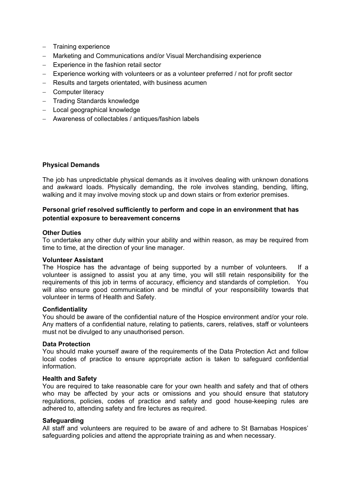- − Training experience
- − Marketing and Communications and/or Visual Merchandising experience
- − Experience in the fashion retail sector
- − Experience working with volunteers or as a volunteer preferred / not for profit sector
- − Results and targets orientated, with business acumen
- − Computer literacy
- − Trading Standards knowledge
- − Local geographical knowledge
- − Awareness of collectables / antiques/fashion labels

### **Physical Demands**

The job has unpredictable physical demands as it involves dealing with unknown donations and awkward loads. Physically demanding, the role involves standing, bending, lifting, walking and it may involve moving stock up and down stairs or from exterior premises.

## **Personal grief resolved sufficiently to perform and cope in an environment that has potential exposure to bereavement concerns**

#### **Other Duties**

To undertake any other duty within your ability and within reason, as may be required from time to time, at the direction of your line manager.

#### **Volunteer Assistant**

The Hospice has the advantage of being supported by a number of volunteers. If a volunteer is assigned to assist you at any time, you will still retain responsibility for the requirements of this job in terms of accuracy, efficiency and standards of completion. You will also ensure good communication and be mindful of your responsibility towards that volunteer in terms of Health and Safety.

#### **Confidentiality**

You should be aware of the confidential nature of the Hospice environment and/or your role. Any matters of a confidential nature, relating to patients, carers, relatives, staff or volunteers must not be divulged to any unauthorised person.

#### **Data Protection**

You should make yourself aware of the requirements of the Data Protection Act and follow local codes of practice to ensure appropriate action is taken to safeguard confidential information.

#### **Health and Safety**

You are required to take reasonable care for your own health and safety and that of others who may be affected by your acts or omissions and you should ensure that statutory regulations, policies, codes of practice and safety and good house-keeping rules are adhered to, attending safety and fire lectures as required.

#### **Safeguarding**

All staff and volunteers are required to be aware of and adhere to St Barnabas Hospices' safeguarding policies and attend the appropriate training as and when necessary.